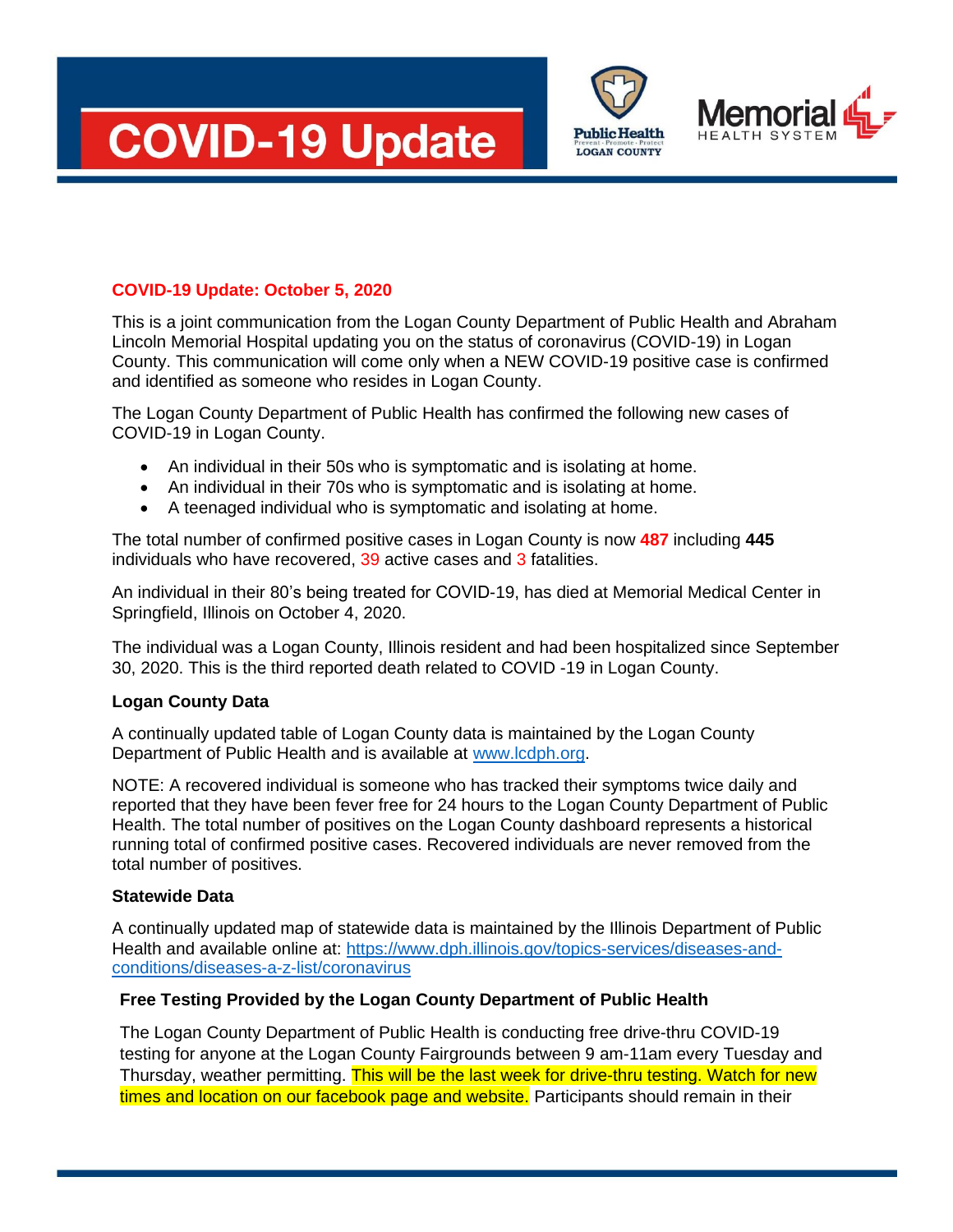





## **COVID-19 Update: October 5, 2020**

This is a joint communication from the Logan County Department of Public Health and Abraham Lincoln Memorial Hospital updating you on the status of coronavirus (COVID-19) in Logan County. This communication will come only when a NEW COVID-19 positive case is confirmed and identified as someone who resides in Logan County.

The Logan County Department of Public Health has confirmed the following new cases of COVID-19 in Logan County.

- An individual in their 50s who is symptomatic and is isolating at home.
- An individual in their 70s who is symptomatic and is isolating at home.
- A teenaged individual who is symptomatic and isolating at home.

The total number of confirmed positive cases in Logan County is now **487** including **445** individuals who have recovered, 39 active cases and 3 fatalities.

An individual in their 80's being treated for COVID-19, has died at Memorial Medical Center in Springfield, Illinois on October 4, 2020.

The individual was a Logan County, Illinois resident and had been hospitalized since September 30, 2020. This is the third reported death related to COVID -19 in Logan County.

## **Logan County Data**

A continually updated table of Logan County data is maintained by the Logan County Department of Public Health and is available at [www.lcdph.org.](http://www.lcdph.org/)

NOTE: A recovered individual is someone who has tracked their symptoms twice daily and reported that they have been fever free for 24 hours to the Logan County Department of Public Health. The total number of positives on the Logan County dashboard represents a historical running total of confirmed positive cases. Recovered individuals are never removed from the total number of positives.

## **Statewide Data**

A continually updated map of statewide data is maintained by the Illinois Department of Public Health and available online at: [https://www.dph.illinois.gov/topics-services/diseases-and](https://www.dph.illinois.gov/topics-services/diseases-and-conditions/diseases-a-z-list/coronavirus)[conditions/diseases-a-z-list/coronavirus](https://www.dph.illinois.gov/topics-services/diseases-and-conditions/diseases-a-z-list/coronavirus)

## **Free Testing Provided by the Logan County Department of Public Health**

The Logan County Department of Public Health is conducting free drive-thru COVID-19 testing for anyone at the Logan County Fairgrounds between 9 am-11am every Tuesday and Thursday, weather permitting. This will be the last week for drive-thru testing. Watch for new times and location on our facebook page and website. Participants should remain in their